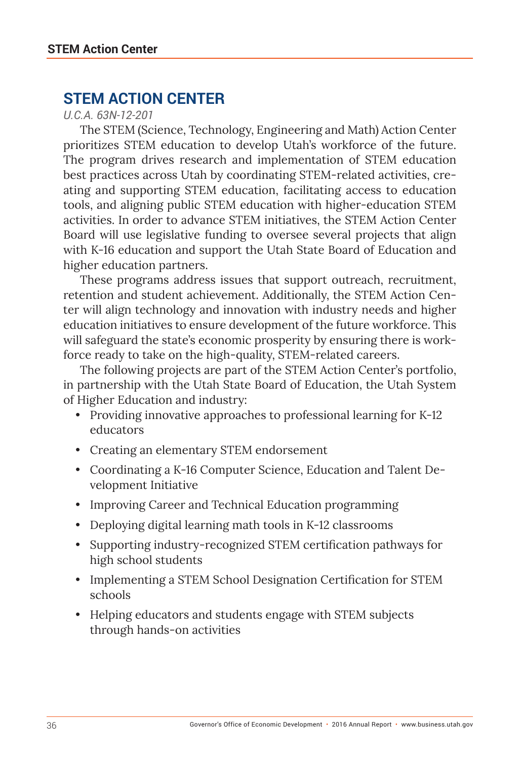## **STEM ACTION CENTER**

*U.C.A. 63N-12-201*

The STEM (Science, Technology, Engineering and Math) Action Center prioritizes STEM education to develop Utah's workforce of the future. The program drives research and implementation of STEM education best practices across Utah by coordinating STEM-related activities, creating and supporting STEM education, facilitating access to education tools, and aligning public STEM education with higher-education STEM activities. In order to advance STEM initiatives, the STEM Action Center Board will use legislative funding to oversee several projects that align with K-16 education and support the Utah State Board of Education and higher education partners.

These programs address issues that support outreach, recruitment, retention and student achievement. Additionally, the STEM Action Center will align technology and innovation with industry needs and higher education initiatives to ensure development of the future workforce. This will safeguard the state's economic prosperity by ensuring there is workforce ready to take on the high-quality, STEM-related careers.

The following projects are part of the STEM Action Center's portfolio, in partnership with the Utah State Board of Education, the Utah System of Higher Education and industry:

- Providing innovative approaches to professional learning for K-12 educators
- Creating an elementary STEM endorsement
- Coordinating a K-16 Computer Science, Education and Talent Development Initiative
- Improving Career and Technical Education programming
- Deploying digital learning math tools in K-12 classrooms
- Supporting industry-recognized STEM certification pathways for high school students
- Implementing a STEM School Designation Certification for STEM schools
- Helping educators and students engage with STEM subjects through hands-on activities